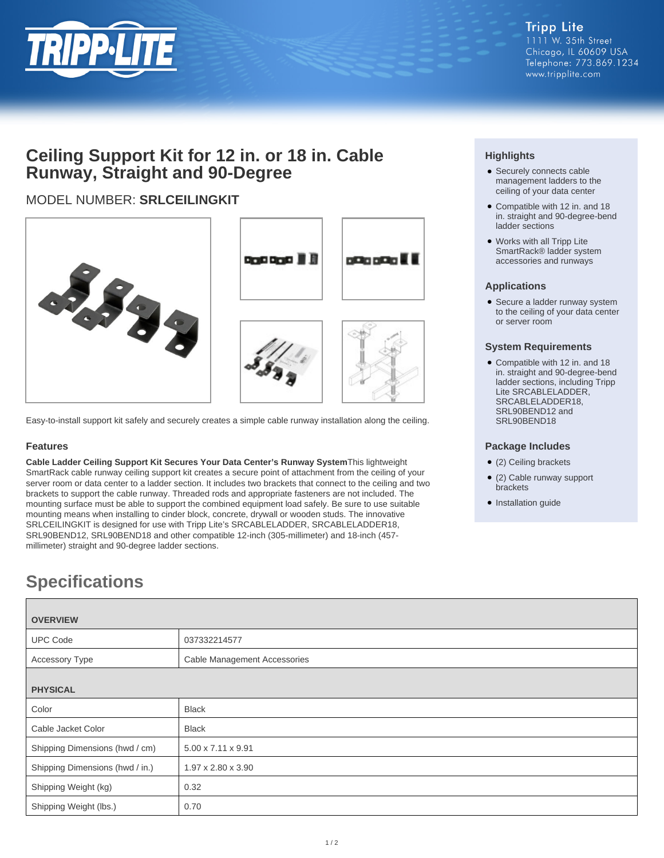

## **Ceiling Support Kit for 12 in. or 18 in. Cable Runway, Straight and 90-Degree**

## MODEL NUMBER: **SRLCEILINGKIT**



Easy-to-install support kit safely and securely creates a simple cable runway installation along the ceiling.

#### **Features**

**Cable Ladder Ceiling Support Kit Secures Your Data Center's Runway System**This lightweight SmartRack cable runway ceiling support kit creates a secure point of attachment from the ceiling of your server room or data center to a ladder section. It includes two brackets that connect to the ceiling and two brackets to support the cable runway. Threaded rods and appropriate fasteners are not included. The mounting surface must be able to support the combined equipment load safely. Be sure to use suitable mounting means when installing to cinder block, concrete, drywall or wooden studs. The innovative SRLCEILINGKIT is designed for use with Tripp Lite's SRCABLELADDER, SRCABLELADDER18, SRL90BEND12, SRL90BEND18 and other compatible 12-inch (305-millimeter) and 18-inch (457 millimeter) straight and 90-degree ladder sections.

### **Highlights**

- Securely connects cable management ladders to the ceiling of your data center
- Compatible with 12 in. and 18 in. straight and 90-degree-bend ladder sections
- Works with all Tripp Lite SmartRack® ladder system accessories and runways

#### **Applications**

• Secure a ladder runway system to the ceiling of your data center or server room

#### **System Requirements**

Compatible with 12 in. and 18 ● in. straight and 90-degree-bend ladder sections, including Tripp Lite SRCABLELADDER, SRCABLELADDER18, SRL90BEND12 and SRL90BEND18

#### **Package Includes**

- (2) Ceiling brackets
- (2) Cable runway support brackets
- Installation guide

# **Specifications**

| <b>OVERVIEW</b>                 |                                |
|---------------------------------|--------------------------------|
| <b>UPC Code</b>                 | 037332214577                   |
| <b>Accessory Type</b>           | Cable Management Accessories   |
| <b>PHYSICAL</b>                 |                                |
| Color                           | <b>Black</b>                   |
| Cable Jacket Color              | <b>Black</b>                   |
| Shipping Dimensions (hwd / cm)  | $5.00 \times 7.11 \times 9.91$ |
| Shipping Dimensions (hwd / in.) | $1.97 \times 2.80 \times 3.90$ |
| Shipping Weight (kg)            | 0.32                           |
| Shipping Weight (lbs.)          | 0.70                           |